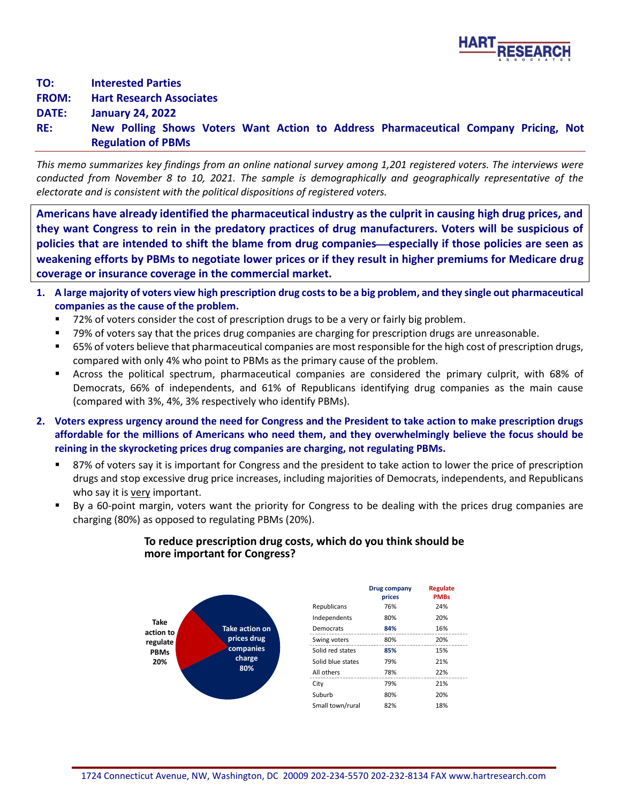

**TO: Interested Parties FROM: Hart Research Associates**

**DATE: January 24, 2022**

**RE: New Polling Shows Voters Want Action to Address Pharmaceutical Company Pricing, Not Regulation of PBMs**

*This memo summarizes key findings from an online national survey among 1,201 registered voters. The interviews were conducted from November 8 to 10, 2021. The sample is demographically and geographically representative of the electorate and is consistent with the political dispositions of registered voters.*

**Americans have already identified the pharmaceutical industry as the culprit in causing high drug prices, and they want Congress to rein in the predatory practices of drug manufacturers. Voters will be suspicious of**  policies that are intended to shift the blame from drug companies—especially if those policies are seen as **weakening efforts by PBMs to negotiate lower prices or if they result in higher premiums for Medicare drug coverage or insurance coverage in the commercial market.**

- **1. A large majority of voters view high prescription drug costs to be a big problem, and they single out pharmaceutical companies as the cause of the problem.**
	- 72% of voters consider the cost of prescription drugs to be a very or fairly big problem.
	- 79% of voters say that the prices drug companies are charging for prescription drugs are unreasonable.
	- 65% of voters believe that pharmaceutical companies are most responsible for the high cost of prescription drugs, compared with only 4% who point to PBMs as the primary cause of the problem.
	- Across the political spectrum, pharmaceutical companies are considered the primary culprit, with 68% of Democrats, 66% of independents, and 61% of Republicans identifying drug companies as the main cause (compared with 3%, 4%, 3% respectively who identify PBMs).
- **2. Voters express urgency around the need for Congress and the President to take action to make prescription drugs affordable for the millions of Americans who need them, and they overwhelmingly believe the focus should be reining in the skyrocketing prices drug companies are charging, not regulating PBMs.**
	- 87% of voters say it is important for Congress and the president to take action to lower the price of prescription drugs and stop excessive drug price increases, including majorities of Democrats, independents, and Republicans who say it is very important.
	- By a 60-point margin, voters want the priority for Congress to be dealing with the prices drug companies are charging (80%) as opposed to regulating PBMs (20%).

## **To reduce prescription drug costs, which do you think should be more important for Congress?**